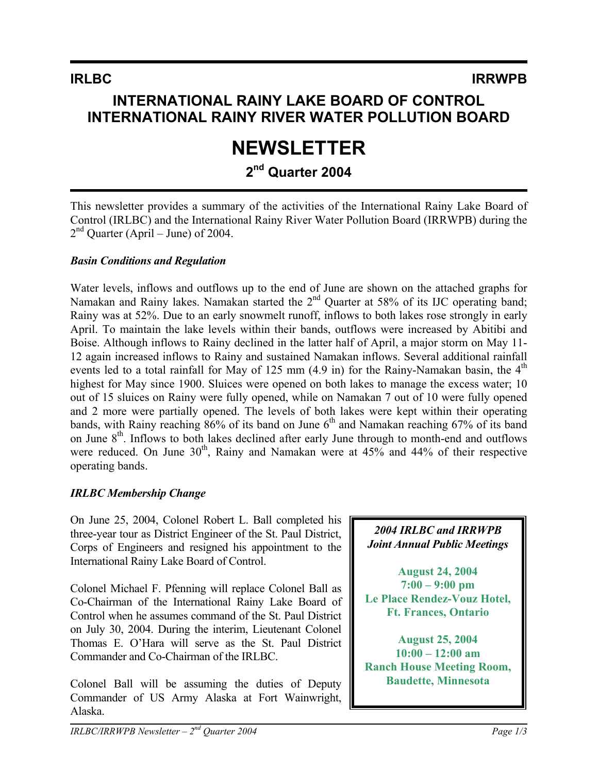## **INTERNATIONAL RAINY LAKE BOARD OF CONTROL INTERNATIONAL RAINY RIVER WATER POLLUTION BOARD**

# **NEWSLETTER**

# **2nd Quarter 2004**

This newsletter provides a summary of the activities of the International Rainy Lake Board of Control (IRLBC) and the International Rainy River Water Pollution Board (IRRWPB) during the  $2<sup>nd</sup>$  Quarter (April – June) of 2004.

#### *Basin Conditions and Regulation*

Water levels, inflows and outflows up to the end of June are shown on the attached graphs for Namakan and Rainy lakes. Namakan started the 2<sup>nd</sup> Quarter at 58% of its IJC operating band; Rainy was at 52%. Due to an early snowmelt runoff, inflows to both lakes rose strongly in early April. To maintain the lake levels within their bands, outflows were increased by Abitibi and Boise. Although inflows to Rainy declined in the latter half of April, a major storm on May 11- 12 again increased inflows to Rainy and sustained Namakan inflows. Several additional rainfall events led to a total rainfall for May of 125 mm  $(4.9 \text{ in})$  for the Rainy-Namakan basin, the  $4^{\text{th}}$ highest for May since 1900. Sluices were opened on both lakes to manage the excess water; 10 out of 15 sluices on Rainy were fully opened, while on Namakan 7 out of 10 were fully opened and 2 more were partially opened. The levels of both lakes were kept within their operating bands, with Rainy reaching  $86\%$  of its band on June  $6<sup>th</sup>$  and Namakan reaching 67% of its band on June 8<sup>th</sup>. Inflows to both lakes declined after early June through to month-end and outflows were reduced. On June  $30<sup>th</sup>$ , Rainy and Namakan were at  $45\%$  and  $44\%$  of their respective operating bands.

#### *IRLBC Membership Change*

On June 25, 2004, Colonel Robert L. Ball completed his three-year tour as District Engineer of the St. Paul District, Corps of Engineers and resigned his appointment to the International Rainy Lake Board of Control.

Colonel Michael F. Pfenning will replace Colonel Ball as Co-Chairman of the International Rainy Lake Board of Control when he assumes command of the St. Paul District on July 30, 2004. During the interim, Lieutenant Colonel Thomas E. O'Hara will serve as the St. Paul District Commander and Co-Chairman of the IRLBC.

Colonel Ball will be assuming the duties of Deputy Commander of US Army Alaska at Fort Wainwright, Alaska.

#### *2004 IRLBC and IRRWPB Joint Annual Public Meetings*

**August 24, 2004 7:00 – 9:00 pm Le Place Rendez-Vouz Hotel, Ft. Frances, Ontario** 

**August 25, 2004 10:00 – 12:00 am Ranch House Meeting Room, Baudette, Minnesota**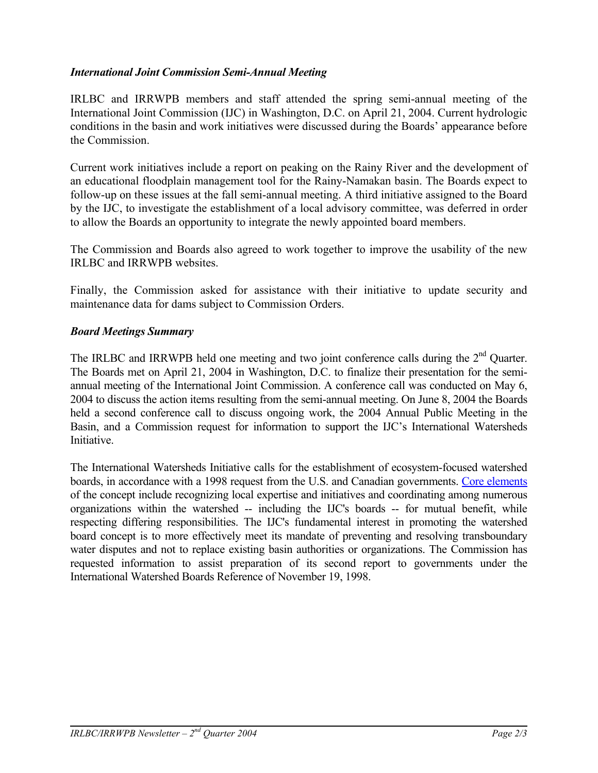#### *International Joint Commission Semi-Annual Meeting*

IRLBC and IRRWPB members and staff attended the spring semi-annual meeting of the International Joint Commission (IJC) in Washington, D.C. on April 21, 2004. Current hydrologic conditions in the basin and work initiatives were discussed during the Boards' appearance before the Commission.

Current work initiatives include a report on peaking on the Rainy River and the development of an educational floodplain management tool for the Rainy-Namakan basin. The Boards expect to follow-up on these issues at the fall semi-annual meeting. A third initiative assigned to the Board by the IJC, to investigate the establishment of a local advisory committee, was deferred in order to allow the Boards an opportunity to integrate the newly appointed board members.

The Commission and Boards also agreed to work together to improve the usability of the new IRLBC and IRRWPB websites.

Finally, the Commission asked for assistance with their initiative to update security and maintenance data for dams subject to Commission Orders.

#### *Board Meetings Summary*

The IRLBC and IRRWPB held one meeting and two joint conference calls during the 2<sup>nd</sup> Quarter. The Boards met on April 21, 2004 in Washington, D.C. to finalize their presentation for the semiannual meeting of the International Joint Commission. A conference call was conducted on May 6, 2004 to discuss the action items resulting from the semi-annual meeting. On June 8, 2004 the Boards held a second conference call to discuss ongoing work, the 2004 Annual Public Meeting in the Basin, and a Commission request for information to support the IJC's International Watersheds Initiative.

The International Watersheds Initiative calls for the establishment of ecosystem-focused watershed boards, in accordance with a 1998 request from the U.S. and Canadian governments. [Core elements](http://www.ijc.org/conseil_board/watershed/en/watershed_home_accueil.htm) of the concept include recognizing local expertise and initiatives and coordinating among numerous organizations within the watershed -- including the IJC's boards -- for mutual benefit, while respecting differing responsibilities. The IJC's fundamental interest in promoting the watershed board concept is to more effectively meet its mandate of preventing and resolving transboundary water disputes and not to replace existing basin authorities or organizations. The Commission has requested information to assist preparation of its second report to governments under the International Watershed Boards Reference of November 19, 1998.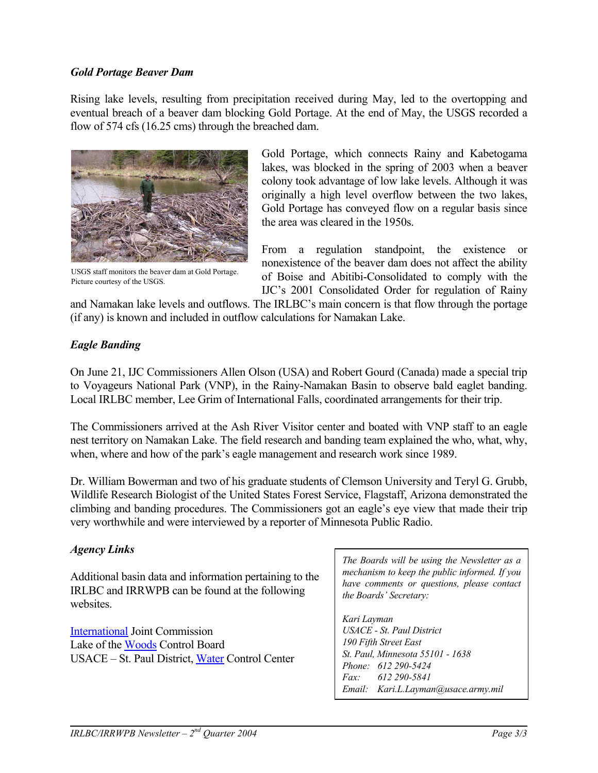#### *Gold Portage Beaver Dam*

Rising lake levels, resulting from precipitation received during May, led to the overtopping and eventual breach of a beaver dam blocking Gold Portage. At the end of May, the USGS recorded a flow of 574 cfs (16.25 cms) through the breached dam.



USGS staff monitors the beaver dam at Gold Portage. Picture courtesy of the USGS.

Gold Portage, which connects Rainy and Kabetogama lakes, was blocked in the spring of 2003 when a beaver colony took advantage of low lake levels. Although it was originally a high level overflow between the two lakes, Gold Portage has conveyed flow on a regular basis since the area was cleared in the 1950s.

From a regulation standpoint, the existence or nonexistence of the beaver dam does not affect the ability of Boise and Abitibi-Consolidated to comply with the IJC's 2001 Consolidated Order for regulation of Rainy

and Namakan lake levels and outflows. The IRLBC's main concern is that flow through the portage (if any) is known and included in outflow calculations for Namakan Lake.

#### *Eagle Banding*

On June 21, IJC Commissioners Allen Olson (USA) and Robert Gourd (Canada) made a special trip to Voyageurs National Park (VNP), in the Rainy-Namakan Basin to observe bald eaglet banding. Local IRLBC member, Lee Grim of International Falls, coordinated arrangements for their trip.

The Commissioners arrived at the Ash River Visitor center and boated with VNP staff to an eagle nest territory on Namakan Lake. The field research and banding team explained the who, what, why, when, where and how of the park's eagle management and research work since 1989.

Dr. William Bowerman and two of his graduate students of Clemson University and Teryl G. Grubb, Wildlife Research Biologist of the United States Forest Service, Flagstaff, Arizona demonstrated the climbing and banding procedures. The Commissioners got an eagle's eye view that made their trip very worthwhile and were interviewed by a reporter of Minnesota Public Radio.

#### *Agency Links*

Additional basin data and information pertaining to the IRLBC and IRRWPB can be found at the following websites

[International](http://www.ijc.org/) Joint Commission Lake of the [Woods](http://www.lwcb.ca/) Control Board USACE – St. Paul District, [Water](http://www.mvp-wc.usace.army.mil/) Control Center

*The Boards will be using the Newsletter as a mechanism to keep the public informed. If you have comments or questions, please contact the Boards' Secretary:* 

*Kari Layman USACE - St. Paul District 190 Fifth Street East St. Paul, Minnesota 55101 - 1638 Phone: 612 290-5424 Fax: 612 290-5841 Email: Kari.L.Layman@usace.army.mil*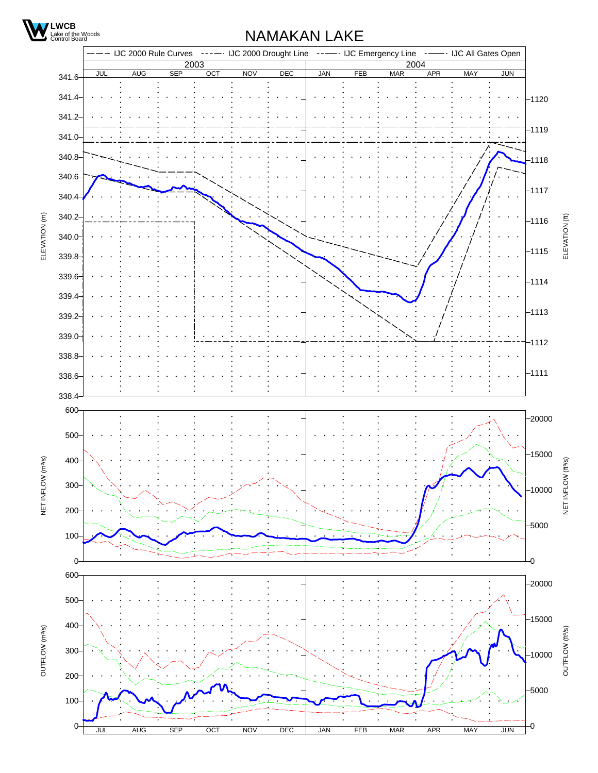

### NAMAKAN LAKE